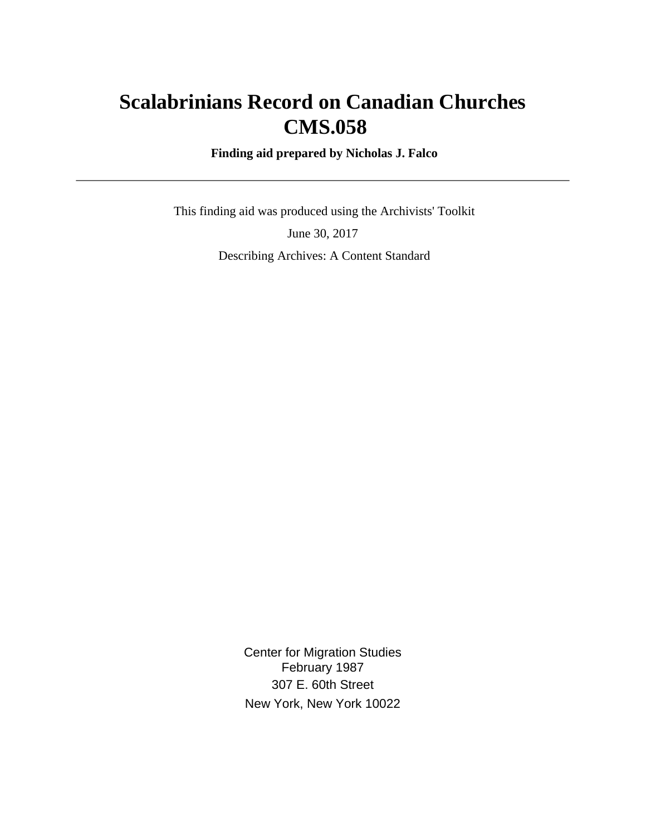# **Scalabrinians Record on Canadian Churches CMS.058**

 **Finding aid prepared by Nicholas J. Falco**

 This finding aid was produced using the Archivists' Toolkit June 30, 2017 Describing Archives: A Content Standard

> Center for Migration Studies February 1987 307 E. 60th Street New York, New York 10022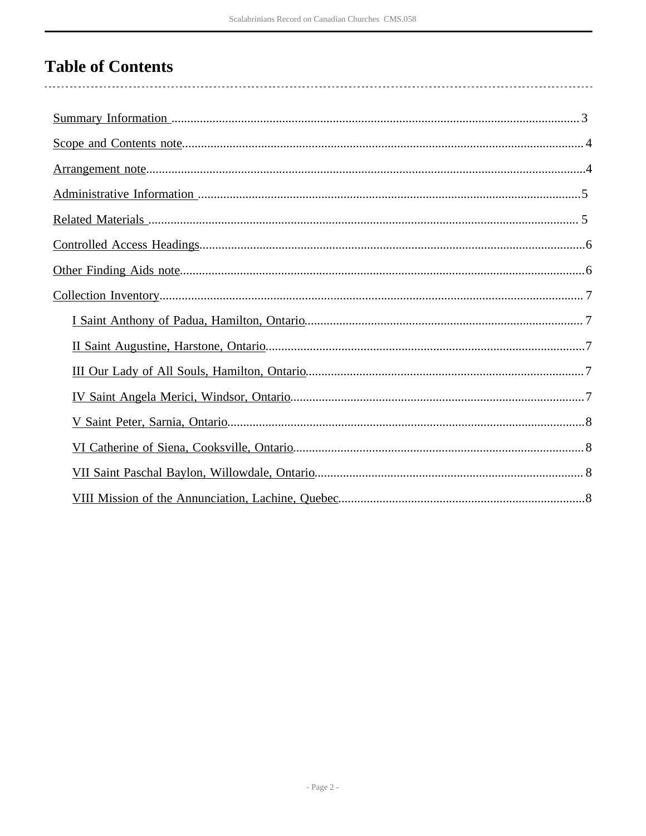# **Table of Contents**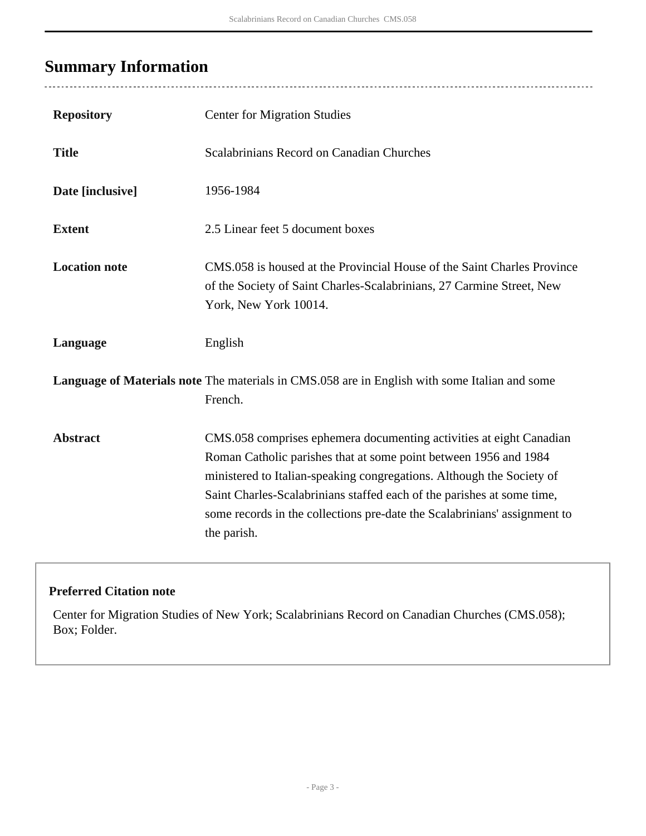# <span id="page-2-0"></span>**Summary Information**

 $\overline{a}$ 

. . . . . . . . . . .

| <b>Repository</b>    | <b>Center for Migration Studies</b>                                                                                                                                                                                                                                                                                                                                                    |
|----------------------|----------------------------------------------------------------------------------------------------------------------------------------------------------------------------------------------------------------------------------------------------------------------------------------------------------------------------------------------------------------------------------------|
| <b>Title</b>         | Scalabrinians Record on Canadian Churches                                                                                                                                                                                                                                                                                                                                              |
| Date [inclusive]     | 1956-1984                                                                                                                                                                                                                                                                                                                                                                              |
| <b>Extent</b>        | 2.5 Linear feet 5 document boxes                                                                                                                                                                                                                                                                                                                                                       |
| <b>Location note</b> | CMS.058 is housed at the Provincial House of the Saint Charles Province<br>of the Society of Saint Charles-Scalabrinians, 27 Carmine Street, New<br>York, New York 10014.                                                                                                                                                                                                              |
| Language             | English                                                                                                                                                                                                                                                                                                                                                                                |
|                      | Language of Materials note The materials in CMS.058 are in English with some Italian and some<br>French.                                                                                                                                                                                                                                                                               |
| <b>Abstract</b>      | CMS.058 comprises ephemera documenting activities at eight Canadian<br>Roman Catholic parishes that at some point between 1956 and 1984<br>ministered to Italian-speaking congregations. Although the Society of<br>Saint Charles-Scalabrinians staffed each of the parishes at some time,<br>some records in the collections pre-date the Scalabrinians' assignment to<br>the parish. |

#### **Preferred Citation note**

Center for Migration Studies of New York; Scalabrinians Record on Canadian Churches (CMS.058); Box; Folder.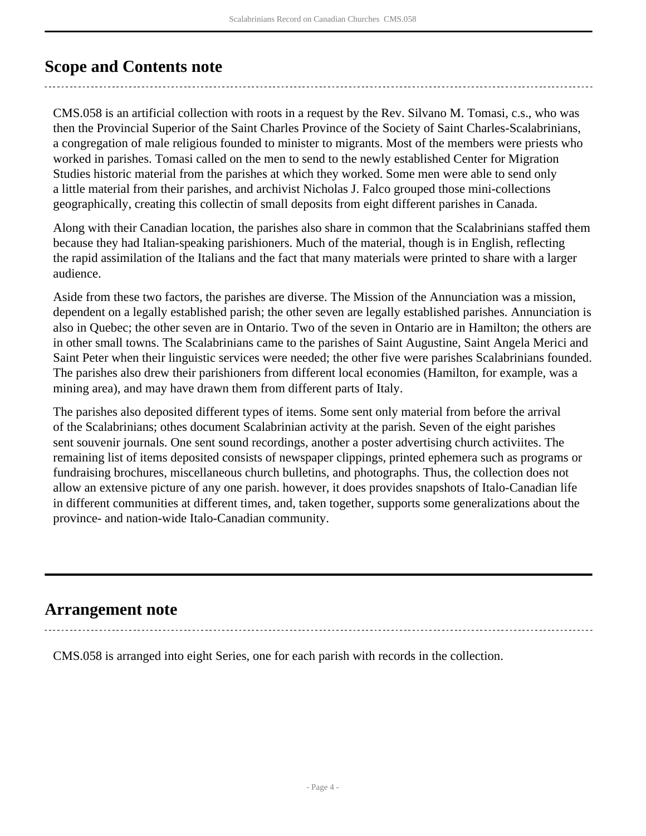## <span id="page-3-0"></span>**Scope and Contents note**

CMS.058 is an artificial collection with roots in a request by the Rev. Silvano M. Tomasi, c.s., who was then the Provincial Superior of the Saint Charles Province of the Society of Saint Charles-Scalabrinians, a congregation of male religious founded to minister to migrants. Most of the members were priests who worked in parishes. Tomasi called on the men to send to the newly established Center for Migration Studies historic material from the parishes at which they worked. Some men were able to send only a little material from their parishes, and archivist Nicholas J. Falco grouped those mini-collections geographically, creating this collectin of small deposits from eight different parishes in Canada.

Along with their Canadian location, the parishes also share in common that the Scalabrinians staffed them because they had Italian-speaking parishioners. Much of the material, though is in English, reflecting the rapid assimilation of the Italians and the fact that many materials were printed to share with a larger audience.

Aside from these two factors, the parishes are diverse. The Mission of the Annunciation was a mission, dependent on a legally established parish; the other seven are legally established parishes. Annunciation is also in Quebec; the other seven are in Ontario. Two of the seven in Ontario are in Hamilton; the others are in other small towns. The Scalabrinians came to the parishes of Saint Augustine, Saint Angela Merici and Saint Peter when their linguistic services were needed; the other five were parishes Scalabrinians founded. The parishes also drew their parishioners from different local economies (Hamilton, for example, was a mining area), and may have drawn them from different parts of Italy.

The parishes also deposited different types of items. Some sent only material from before the arrival of the Scalabrinians; othes document Scalabrinian activity at the parish. Seven of the eight parishes sent souvenir journals. One sent sound recordings, another a poster advertising church activiites. The remaining list of items deposited consists of newspaper clippings, printed ephemera such as programs or fundraising brochures, miscellaneous church bulletins, and photographs. Thus, the collection does not allow an extensive picture of any one parish. however, it does provides snapshots of Italo-Canadian life in different communities at different times, and, taken together, supports some generalizations about the province- and nation-wide Italo-Canadian community.

## <span id="page-3-1"></span>**Arrangement note**

CMS.058 is arranged into eight Series, one for each parish with records in the collection.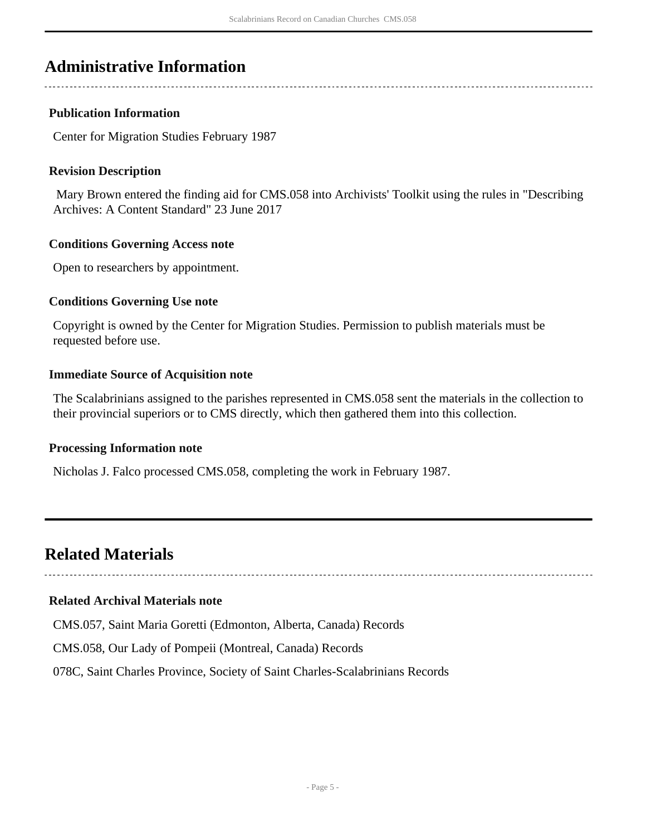### <span id="page-4-0"></span>**Administrative Information**

#### **Publication Information**

Center for Migration Studies February 1987

#### **Revision Description**

 Mary Brown entered the finding aid for CMS.058 into Archivists' Toolkit using the rules in "Describing Archives: A Content Standard" 23 June 2017

#### **Conditions Governing Access note**

Open to researchers by appointment.

#### **Conditions Governing Use note**

Copyright is owned by the Center for Migration Studies. Permission to publish materials must be requested before use.

#### **Immediate Source of Acquisition note**

The Scalabrinians assigned to the parishes represented in CMS.058 sent the materials in the collection to their provincial superiors or to CMS directly, which then gathered them into this collection.

#### **Processing Information note**

Nicholas J. Falco processed CMS.058, completing the work in February 1987.

### <span id="page-4-1"></span>**Related Materials**

#### **Related Archival Materials note**

CMS.057, Saint Maria Goretti (Edmonton, Alberta, Canada) Records

CMS.058, Our Lady of Pompeii (Montreal, Canada) Records

078C, Saint Charles Province, Society of Saint Charles-Scalabrinians Records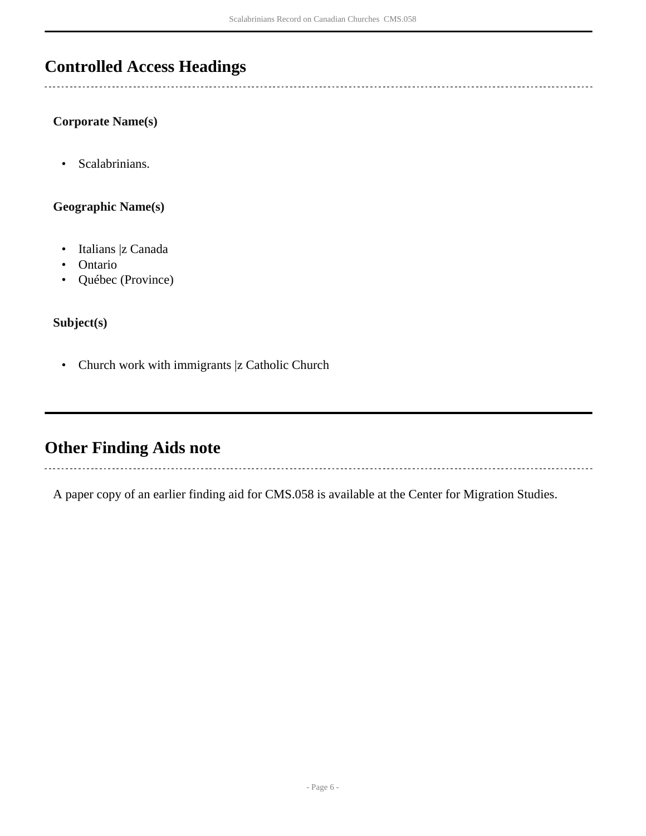## <span id="page-5-0"></span>**Controlled Access Headings**

#### **Corporate Name(s)**

• Scalabrinians.

**Geographic Name(s)**

- Italians |z Canada
- Ontario
- Québec (Province)

**Subject(s)**

• Church work with immigrants |z Catholic Church

## <span id="page-5-1"></span>**Other Finding Aids note**

A paper copy of an earlier finding aid for CMS.058 is available at the Center for Migration Studies.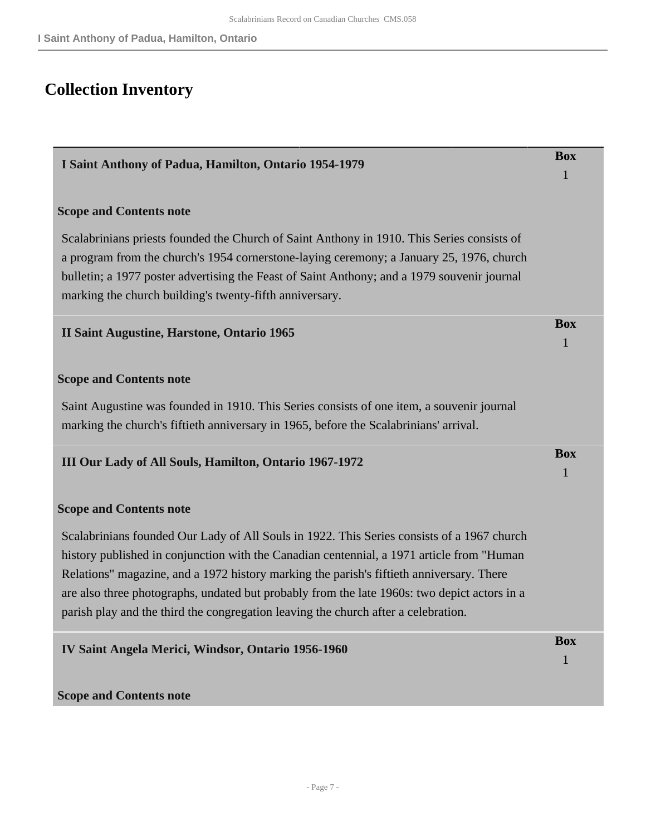# <span id="page-6-0"></span>**Collection Inventory**

<span id="page-6-4"></span><span id="page-6-3"></span><span id="page-6-2"></span><span id="page-6-1"></span>

| I Saint Anthony of Padua, Hamilton, Ontario 1954-1979                                                                                                                                                                                                                                                                                                                                                                                                                      |                 |
|----------------------------------------------------------------------------------------------------------------------------------------------------------------------------------------------------------------------------------------------------------------------------------------------------------------------------------------------------------------------------------------------------------------------------------------------------------------------------|-----------------|
| <b>Scope and Contents note</b>                                                                                                                                                                                                                                                                                                                                                                                                                                             |                 |
| Scalabrinians priests founded the Church of Saint Anthony in 1910. This Series consists of<br>a program from the church's 1954 cornerstone-laying ceremony; a January 25, 1976, church<br>bulletin; a 1977 poster advertising the Feast of Saint Anthony; and a 1979 souvenir journal<br>marking the church building's twenty-fifth anniversary.                                                                                                                           |                 |
| <b>II Saint Augustine, Harstone, Ontario 1965</b>                                                                                                                                                                                                                                                                                                                                                                                                                          | <b>Box</b><br>1 |
| <b>Scope and Contents note</b>                                                                                                                                                                                                                                                                                                                                                                                                                                             |                 |
| Saint Augustine was founded in 1910. This Series consists of one item, a souvenir journal<br>marking the church's fiftieth anniversary in 1965, before the Scalabrinians' arrival.                                                                                                                                                                                                                                                                                         |                 |
| III Our Lady of All Souls, Hamilton, Ontario 1967-1972                                                                                                                                                                                                                                                                                                                                                                                                                     | <b>Box</b><br>1 |
| <b>Scope and Contents note</b>                                                                                                                                                                                                                                                                                                                                                                                                                                             |                 |
| Scalabrinians founded Our Lady of All Souls in 1922. This Series consists of a 1967 church<br>history published in conjunction with the Canadian centennial, a 1971 article from "Human"<br>Relations" magazine, and a 1972 history marking the parish's fiftieth anniversary. There<br>are also three photographs, undated but probably from the late 1960s: two depict actors in a<br>parish play and the third the congregation leaving the church after a celebration. |                 |
| IV Saint Angela Merici, Windsor, Ontario 1956-1960                                                                                                                                                                                                                                                                                                                                                                                                                         | <b>Box</b><br>ı |
| <b>Scope and Contents note</b>                                                                                                                                                                                                                                                                                                                                                                                                                                             |                 |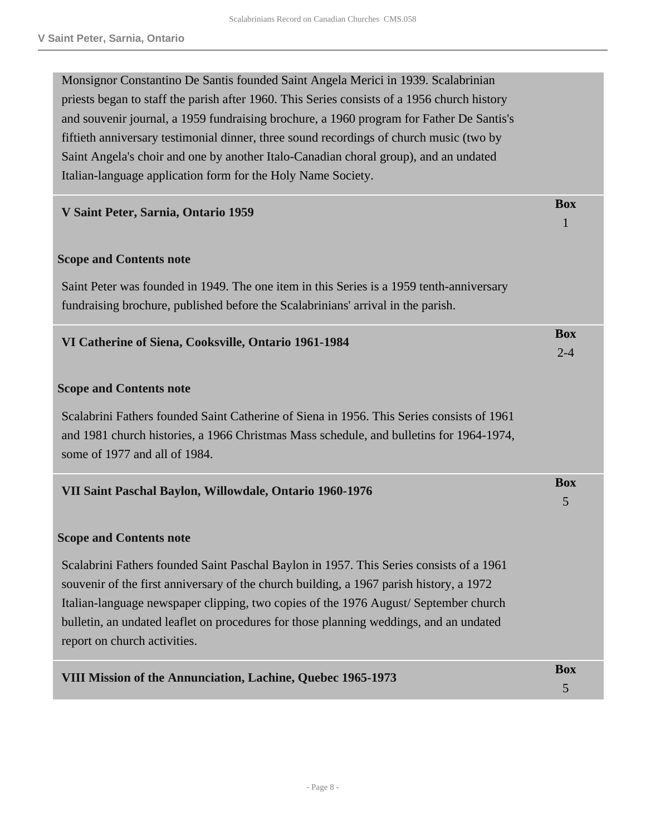<span id="page-7-3"></span><span id="page-7-2"></span><span id="page-7-1"></span><span id="page-7-0"></span>

| Monsignor Constantino De Santis founded Saint Angela Merici in 1939. Scalabrinian           |            |
|---------------------------------------------------------------------------------------------|------------|
| priests began to staff the parish after 1960. This Series consists of a 1956 church history |            |
| and souvenir journal, a 1959 fundraising brochure, a 1960 program for Father De Santis's    |            |
| fiftieth anniversary testimonial dinner, three sound recordings of church music (two by     |            |
| Saint Angela's choir and one by another Italo-Canadian choral group), and an undated        |            |
| Italian-language application form for the Holy Name Society.                                |            |
| V Saint Peter, Sarnia, Ontario 1959                                                         | <b>Box</b> |
|                                                                                             | 1          |
| <b>Scope and Contents note</b>                                                              |            |
| Saint Peter was founded in 1949. The one item in this Series is a 1959 tenth-anniversary    |            |
| fundraising brochure, published before the Scalabrinians' arrival in the parish.            |            |
| VI Catherine of Siena, Cooksville, Ontario 1961-1984                                        | <b>Box</b> |
|                                                                                             | $2 - 4$    |
| <b>Scope and Contents note</b>                                                              |            |
| Scalabrini Fathers founded Saint Catherine of Siena in 1956. This Series consists of 1961   |            |
| and 1981 church histories, a 1966 Christmas Mass schedule, and bulletins for 1964-1974,     |            |
| some of 1977 and all of 1984.                                                               |            |
| VII Saint Paschal Baylon, Willowdale, Ontario 1960-1976                                     | <b>Box</b> |
|                                                                                             | 5          |
| <b>Scope and Contents note</b>                                                              |            |
| Scalabrini Fathers founded Saint Paschal Baylon in 1957. This Series consists of a 1961     |            |
| souvenir of the first anniversary of the church building, a 1967 parish history, a 1972     |            |
| Italian-language newspaper clipping, two copies of the 1976 August/September church         |            |
| bulletin, an undated leaflet on procedures for those planning weddings, and an undated      |            |
| report on church activities.                                                                |            |
| VIII Mission of the Annunciation, Lachine, Quebec 1965-1973                                 | <b>Box</b> |
|                                                                                             | 5          |